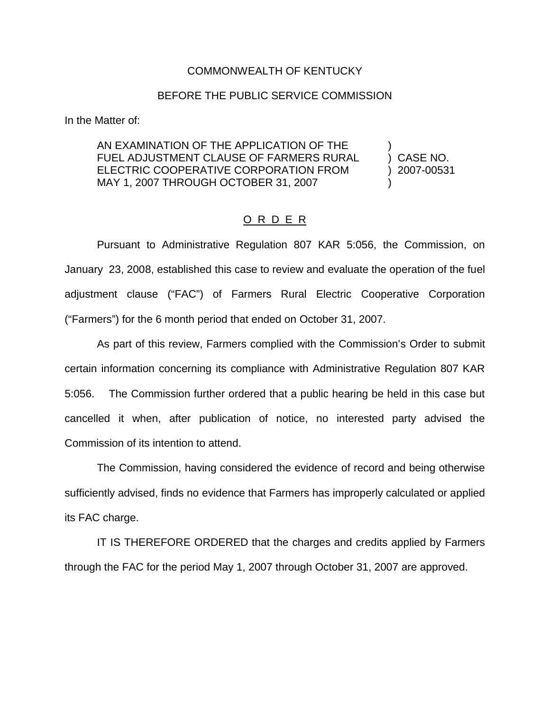## COMMONWEALTH OF KENTUCKY

## BEFORE THE PUBLIC SERVICE COMMISSION

In the Matter of:

AN EXAMINATION OF THE APPLICATION OF THE FUEL ADJUSTMENT CLAUSE OF FARMERS RURAL ) CASE NO. ELECTRIC COOPERATIVE CORPORATION FROM ) 2007-00531 MAY 1, 2007 THROUGH OCTOBER 31, 2007

## O R D E R

Pursuant to Administrative Regulation 807 KAR 5:056, the Commission, on January 23, 2008, established this case to review and evaluate the operation of the fuel adjustment clause ("FAC") of Farmers Rural Electric Cooperative Corporation ("Farmers") for the 6 month period that ended on October 31, 2007.

As part of this review, Farmers complied with the Commission's Order to submit certain information concerning its compliance with Administrative Regulation 807 KAR 5:056. The Commission further ordered that a public hearing be held in this case but cancelled it when, after publication of notice, no interested party advised the Commission of its intention to attend.

The Commission, having considered the evidence of record and being otherwise sufficiently advised, finds no evidence that Farmers has improperly calculated or applied its FAC charge.

IT IS THEREFORE ORDERED that the charges and credits applied by Farmers through the FAC for the period May 1, 2007 through October 31, 2007 are approved.